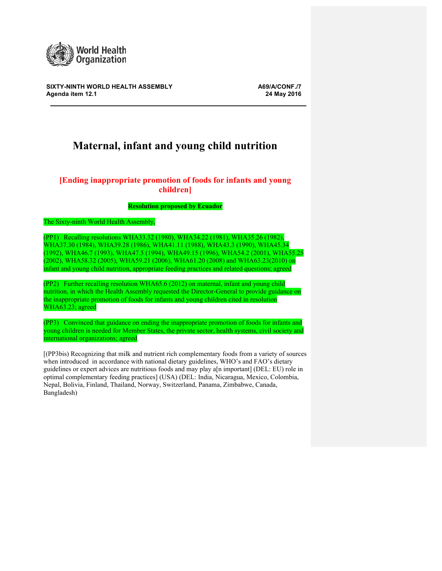

**SIXTY-NINTH WORLD HEALTH ASSEMBLY A69/A/CONF./7 Agenda item 12.1 24 May 2016**

# **Maternal, infant and young child nutrition**

# **[Ending inappropriate promotion of foods for infants and young children]**

## **Resolution proposed by Ecuador**

The Sixty-ninth World Health Assembly,

(PP1) Recalling resolutions WHA33.32 (1980), WHA34.22 (1981), WHA35.26 (1982), WHA37.30 (1984), WHA39.28 (1986), WHA41.11 (1988), WHA43.3 (1990), WHA45.34 (1992), WHA46.7 (1993), WHA47.5 (1994), WHA49.15 (1996), WHA54.2 (2001), WHA55.25 (2002), WHA58.32 (2005), WHA59.21 (2006), WHA61.20 (2008) and WHA63.23(2010) on infant and young child nutrition, appropriate feeding practices and related questions; agreed

(PP2) Further recalling resolution WHA65.6 (2012) on maternal, infant and young child nutrition, in which the Health Assembly requested the Director-General to provide guidance on the inappropriate promotion of foods for infants and young children cited in resolution WHA63.23; agreed

(PP3) Convinced that guidance on ending the inappropriate promotion of foods for infants and young children is needed for Member States, the private sector, health systems, civil society and international organizations; agreed

[(PP3bis) Recognizing that milk and nutrient rich complementary foods from a variety of sources when introduced in accordance with national dietary guidelines, WHO's and FAO's dietary guidelines or expert advices are nutritious foods and may play a[n important] (DEL: EU) role in optimal complementary feeding practices] (USA) (DEL: India, Nicaragua, Mexico, Colombia, Nepal, Bolivia, Finland, Thailand, Norway, Switzerland, Panama, Zimbabwe, Canada, Bangladesh)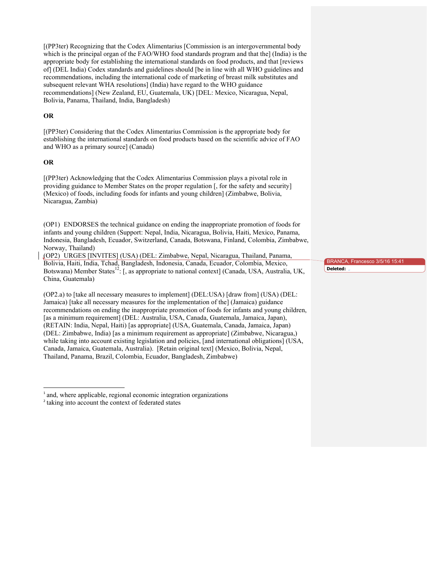[(PP3ter) Recognizing that the Codex Alimentarius [Commission is an intergovernmental body which is the principal organ of the FAO/WHO food standards program and that the] (India) is the appropriate body for establishing the international standards on food products, and that [reviews of] (DEL India) Codex standards and guidelines should [be in line with all WHO guidelines and recommendations, including the international code of marketing of breast milk substitutes and subsequent relevant WHA resolutions] (India) have regard to the WHO guidance recommendations] (New Zealand, EU, Guatemala, UK) [DEL: Mexico, Nicaragua, Nepal, Bolivia, Panama, Thailand, India, Bangladesh)

#### **OR**

[(PP3ter) Considering that the Codex Alimentarius Commission is the appropriate body for establishing the international standards on food products based on the scientific advice of FAO and WHO as a primary source] (Canada)

## **OR**

[(PP3ter) Acknowledging that the Codex Alimentarius Commission plays a pivotal role in providing guidance to Member States on the proper regulation [, for the safety and security] (Mexico) of foods, including foods for infants and young children] (Zimbabwe, Bolivia, Nicaragua, Zambia)

(OP1) ENDORSES the technical guidance on ending the inappropriate promotion of foods for infants and young children (Support: Nepal, India, Nicaragua, Bolivia, Haiti, Mexico, Panama, Indonesia, Bangladesh, Ecuador, Switzerland, Canada, Botswana, Finland, Colombia, Zimbabwe, Norway, Thailand)

(OP2) URGES [INVITES] (USA) (DEL: Zimbabwe, Nepal, Nicaragua, Thailand, Panama, Bolivia, Haiti, India, Tchad, Bangladesh, Indonesia, Canada, Ecuador, Colombia, Mexico, Botswana) Member States<sup>12</sup>: [, as appropriate to national context] (Canada, USA, Australia, UK, China, Guatemala)

(OP2.a) to [take all necessary measures to implement] (DEL:USA) [draw from] (USA) (DEL: Jamaica) [take all necessary measures for the implementation of the] (Jamaica) guidance recommendations on ending the inappropriate promotion of foods for infants and young children, [as a minimum requirement] (DEL: Australia, USA, Canada, Guatemala, Jamaica, Japan), (RETAIN: India, Nepal, Haiti) [as appropriate] (USA, Guatemala, Canada, Jamaica, Japan) (DEL: Zimbabwe, India) [as a minimum requirement as appropriate] (Zimbabwe, Nicaragua,) while taking into account existing legislation and policies, [and international obligations] (USA, Canada, Jamaica, Guatemala, Australia). [Retain original text] (Mexico, Bolivia, Nepal, Thailand, Panama, Brazil, Colombia, Ecuador, Bangladesh, Zimbabwe)

 

BRANCA, Francesco 3/5/16 15:41 **Deleted:** 

<sup>&</sup>lt;sup>1</sup> and, where applicable, regional economic integration organizations

<sup>2</sup> taking into account the context of federated states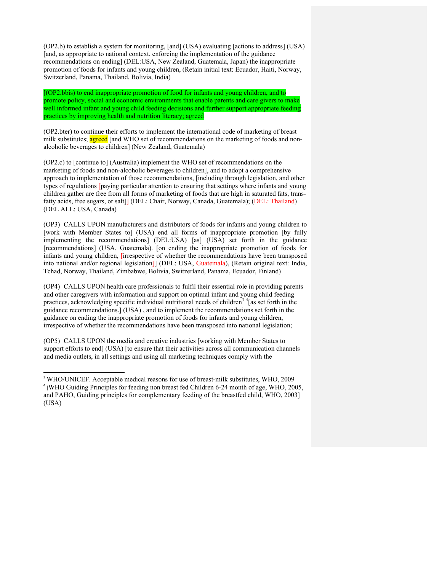(OP2.b) to establish a system for monitoring, [and] (USA) evaluating [actions to address] (USA) [and, as appropriate to national context, enforcing the implementation of the guidance recommendations on ending] (DEL:USA, New Zealand, Guatemala, Japan) the inappropriate promotion of foods for infants and young children, (Retain initial text: Ecuador, Haiti, Norway, Switzerland, Panama, Thailand, Bolivia, India)

[(OP2.bbis) to end inappropriate promotion of food for infants and young children, and to promote policy, social and economic environments that enable parents and care givers to make well informed infant and young child feeding decisions and further support appropriate feeding practices by improving health and nutrition literacy; agreed

(OP2.bter) to continue their efforts to implement the international code of marketing of breast milk substitutes; agreed [and WHO set of recommendations on the marketing of foods and nonalcoholic beverages to children] (New Zealand, Guatemala)

(OP2.c) to [continue to] (Australia) implement the WHO set of recommendations on the marketing of foods and non-alcoholic beverages to children], and to adopt a comprehensive approach to implementation of those recommendations, [including through legislation, and other types of regulations [paying particular attention to ensuring that settings where infants and young children gather are free from all forms of marketing of foods that are high in saturated fats, transfatty acids, free sugars, or salt]] (DEL: Chair, Norway, Canada, Guatemala); (DEL: Thailand) (DEL ALL: USA, Canada)

(OP3) CALLS UPON manufacturers and distributors of foods for infants and young children to [work with Member States to] (USA) end all forms of inappropriate promotion [by fully implementing the recommendations] (DEL:USA) [as] (USA) set forth in the guidance [recommendations] (USA, Guatemala). [on ending the inappropriate promotion of foods for infants and young children, [irrespective of whether the recommendations have been transposed into national and/or regional legislation]] (DEL: USA, Guatemala), (Retain original text: India, Tchad, Norway, Thailand, Zimbabwe, Bolivia, Switzerland, Panama, Ecuador, Finland)

(OP4) CALLS UPON health care professionals to fulfil their essential role in providing parents and other caregivers with information and support on optimal infant and young child feeding practices, acknowledging specific individual nutritional needs of children<sup>34</sup> [as set forth in the guidance recommendations.] (USA) , and to implement the recommendations set forth in the guidance on ending the inappropriate promotion of foods for infants and young children, irrespective of whether the recommendations have been transposed into national legislation;

(OP5) CALLS UPON the media and creative industries [working with Member States to support efforts to end] (USA) [to ensure that their activities across all communication channels and media outlets, in all settings and using all marketing techniques comply with the

<u> 1989 - Johann Barn, mars eta bainar eta industrial eta erromana eta erromana eta erromana eta erromana eta e</u>

<sup>3</sup> WHO/UNICEF. Acceptable medical reasons for use of breast-milk substitutes, WHO, 2009 <sup>4</sup> [WHO Guiding Principles for feeding non breast fed Children 6-24 month of age, WHO, 2005, and PAHO, Guiding principles for complementary feeding of the breastfed child, WHO, 2003] (USA)